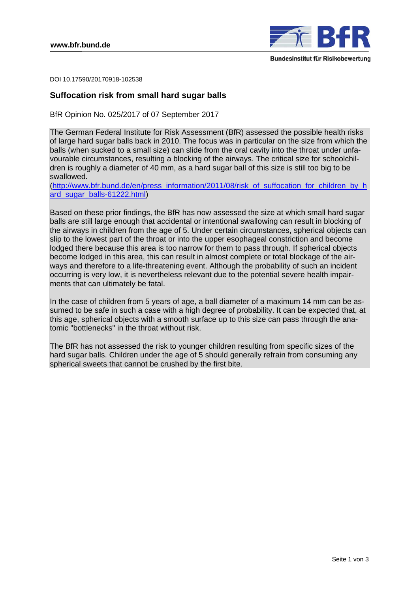

DOI 10.17590/20170918-102538

## **Suffocation risk from small hard sugar balls**

BfR Opinion No. 025/2017 of 07 September 2017

The German Federal Institute for Risk Assessment (BfR) assessed the possible health risks of large hard sugar balls back in 2010. The focus was in particular on the size from which the balls (when sucked to a small size) can slide from the oral cavity into the throat under unfavourable circumstances, resulting a blocking of the airways. The critical size for schoolchildren is roughly a diameter of 40 mm, as a hard sugar ball of this size is still too big to be swallowed.

(http://www.bfr.bund.de/en/press\_information/2011/08/risk\_of\_suffocation\_for\_children\_by\_h ard sugar balls-61222.html)

Based on these prior findings, the BfR has now assessed the size at which small hard sugar balls are still large enough that accidental or intentional swallowing can result in blocking of the airways in children from the age of 5. Under certain circumstances, spherical objects can slip to the lowest part of the throat or into the upper esophageal constriction and become lodged there because this area is too narrow for them to pass through. If spherical objects become lodged in this area, this can result in almost complete or total blockage of the airways and therefore to a life-threatening event. Although the probability of such an incident occurring is very low, it is nevertheless relevant due to the potential severe health impairments that can ultimately be fatal.

In the case of children from 5 years of age, a ball diameter of a maximum 14 mm can be assumed to be safe in such a case with a high degree of probability. It can be expected that, at this age, spherical objects with a smooth surface up to this size can pass through the anatomic "bottlenecks" in the throat without risk.

The BfR has not assessed the risk to younger children resulting from specific sizes of the hard sugar balls. Children under the age of 5 should generally refrain from consuming any spherical sweets that cannot be crushed by the first bite.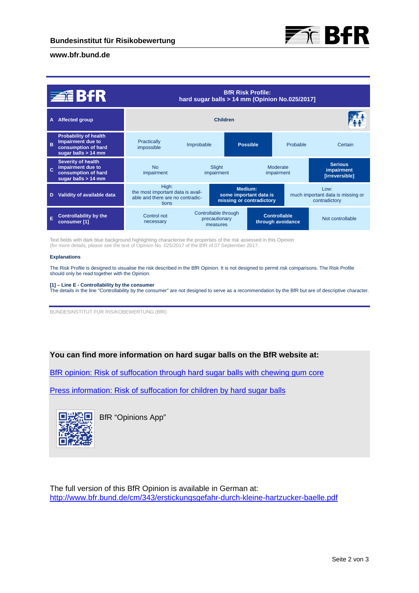

### **www.bfr.bund.de**

| 至BfR |                                                                                                          | <b>BfR Risk Profile:</b><br>hard sugar balls > 14 mm (Opinion No.025/2017]              |                                                               |                      |                                          |                                                            |                                                |
|------|----------------------------------------------------------------------------------------------------------|-----------------------------------------------------------------------------------------|---------------------------------------------------------------|----------------------|------------------------------------------|------------------------------------------------------------|------------------------------------------------|
| Α    | <b>Affected group</b>                                                                                    | <b>Children</b>                                                                         |                                                               |                      |                                          |                                                            |                                                |
| B    | <b>Probability of health</b><br><b>Impairment due to</b><br>consumption of hard<br>sugar balls $> 14$ mm | Practically<br>impossible                                                               | Improbable                                                    | <b>Possible</b>      |                                          | Probable                                                   | Certain                                        |
|      | <b>Severity of health</b><br>impairment due to<br>consumption of hard<br>sugar balls $> 14$ mm           | <b>No</b><br>impairment                                                                 |                                                               | Slight<br>impairment |                                          | Moderate<br>impairment                                     | <b>Serious</b><br>impairment<br>[irreversible] |
| D    | Validity of available data                                                                               | High:<br>the most important data is avail-<br>able and there are no contradic-<br>tions | Medium:<br>some important data is<br>missing or contradictory |                      |                                          | Low:<br>much important data is missing or<br>contradictory |                                                |
| E    | <b>Controllability by the</b><br>consumer [1]                                                            | Control not<br>necessary                                                                | Controllable through<br>precautionary<br>measures             |                      | <b>Controllable</b><br>through avoidance |                                                            | Not controllable                               |

Text fields with dark blue background highlighting characterise the properties of the risk assessed in this Opinion (for more details, please see the text of Opinion No. 025/2017 of the BfR of 07 September 2017.

#### **Explanations**

The Risk Profile is designed to visualise the risk described in the BfR Opinion. It is not designed to permit risk comparisons. The Risk Profile should only be read together with the Opinion.

#### **[1] – Line E - Controllability by the consumer**

The details in the line "Controllability by the consumer" are not designed to serve as a recommendation by the BfR but are of descriptive character.

BUNDESINSTITUT FÜR RISIKOBEWERTUNG (BfR)

# **You can find more information on hard sugar balls on the BfR website at:**

[BfR opinion: Risk of suffocation through hard sugar balls with chewing gum core](http://www.bfr.bund.de/cm/349/risk-of-suffocation-through-hard-sugar-balls-with-chewing-gum-core.pdf) 

[Press information: Risk of suffocation for children by hard sugar balls](http://www.bfr.bund.de/en/press_information/2011/08/risk_of_suffocation_for_children_by_hard_sugar_balls-61222.html) 



BfR "Opinions App"

The full version of this BfR Opinion is available in German at: http://www.bfr.bund.de/cm/343/erstickungsgefahr-durch-kleine-hartzucker-baelle.pdf